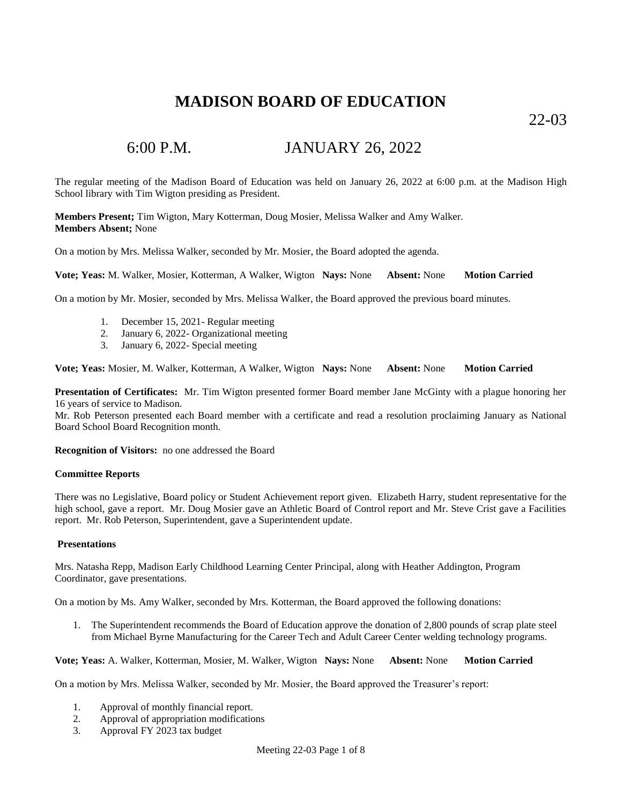22-03

# 6:00 P.M. JANUARY 26, 2022

The regular meeting of the Madison Board of Education was held on January 26, 2022 at 6:00 p.m. at the Madison High School library with Tim Wigton presiding as President.

**Members Present;** Tim Wigton, Mary Kotterman, Doug Mosier, Melissa Walker and Amy Walker. **Members Absent;** None

On a motion by Mrs. Melissa Walker, seconded by Mr. Mosier, the Board adopted the agenda.

**Vote; Yeas:** M. Walker, Mosier, Kotterman, A Walker, Wigton **Nays:** None **Absent:** None **Motion Carried**

On a motion by Mr. Mosier, seconded by Mrs. Melissa Walker, the Board approved the previous board minutes.

- 1. December 15, 2021- Regular meeting
- 2. January 6, 2022- Organizational meeting
- 3. January 6, 2022- Special meeting

**Vote; Yeas:** Mosier, M. Walker, Kotterman, A Walker, Wigton **Nays:** None **Absent:** None **Motion Carried**

**Presentation of Certificates:** Mr. Tim Wigton presented former Board member Jane McGinty with a plague honoring her 16 years of service to Madison.

Mr. Rob Peterson presented each Board member with a certificate and read a resolution proclaiming January as National Board School Board Recognition month.

**Recognition of Visitors:** no one addressed the Board

### **Committee Reports**

There was no Legislative, Board policy or Student Achievement report given. Elizabeth Harry, student representative for the high school, gave a report. Mr. Doug Mosier gave an Athletic Board of Control report and Mr. Steve Crist gave a Facilities report. Mr. Rob Peterson, Superintendent, gave a Superintendent update.

### **Presentations**

Mrs. Natasha Repp, Madison Early Childhood Learning Center Principal, along with Heather Addington, Program Coordinator, gave presentations.

On a motion by Ms. Amy Walker, seconded by Mrs. Kotterman, the Board approved the following donations:

1. The Superintendent recommends the Board of Education approve the donation of 2,800 pounds of scrap plate steel from Michael Byrne Manufacturing for the Career Tech and Adult Career Center welding technology programs.

**Vote; Yeas:** A. Walker, Kotterman, Mosier, M. Walker, Wigton **Nays:** None **Absent:** None **Motion Carried**

On a motion by Mrs. Melissa Walker, seconded by Mr. Mosier, the Board approved the Treasurer's report:

- 1. Approval of monthly financial report.
- 2. Approval of appropriation modifications
- 3. Approval FY 2023 tax budget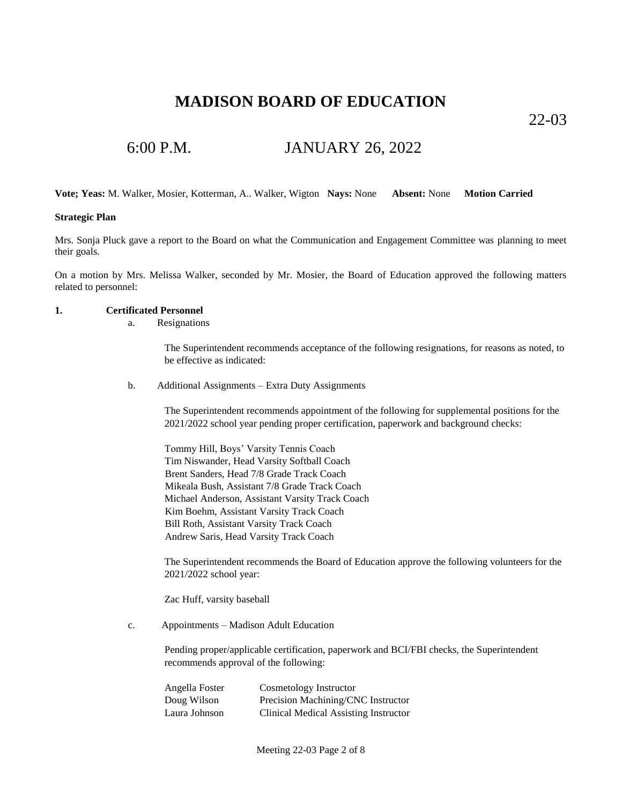22-03

## 6:00 P.M. JANUARY 26, 2022

**Vote; Yeas:** M. Walker, Mosier, Kotterman, A.. Walker, Wigton **Nays:** None **Absent:** None **Motion Carried**

### **Strategic Plan**

Mrs. Sonja Pluck gave a report to the Board on what the Communication and Engagement Committee was planning to meet their goals.

On a motion by Mrs. Melissa Walker, seconded by Mr. Mosier, the Board of Education approved the following matters related to personnel:

#### **1. Certificated Personnel**

a. Resignations

The Superintendent recommends acceptance of the following resignations, for reasons as noted, to be effective as indicated:

b. Additional Assignments – Extra Duty Assignments

The Superintendent recommends appointment of the following for supplemental positions for the 2021/2022 school year pending proper certification, paperwork and background checks:

Tommy Hill, Boys' Varsity Tennis Coach Tim Niswander, Head Varsity Softball Coach Brent Sanders, Head 7/8 Grade Track Coach Mikeala Bush, Assistant 7/8 Grade Track Coach Michael Anderson, Assistant Varsity Track Coach Kim Boehm, Assistant Varsity Track Coach Bill Roth, Assistant Varsity Track Coach Andrew Saris, Head Varsity Track Coach

The Superintendent recommends the Board of Education approve the following volunteers for the 2021/2022 school year:

Zac Huff, varsity baseball

c. Appointments – Madison Adult Education

Pending proper/applicable certification, paperwork and BCI/FBI checks, the Superintendent recommends approval of the following:

| Angella Foster | Cosmetology Instructor                       |
|----------------|----------------------------------------------|
| Doug Wilson    | Precision Machining/CNC Instructor           |
| Laura Johnson  | <b>Clinical Medical Assisting Instructor</b> |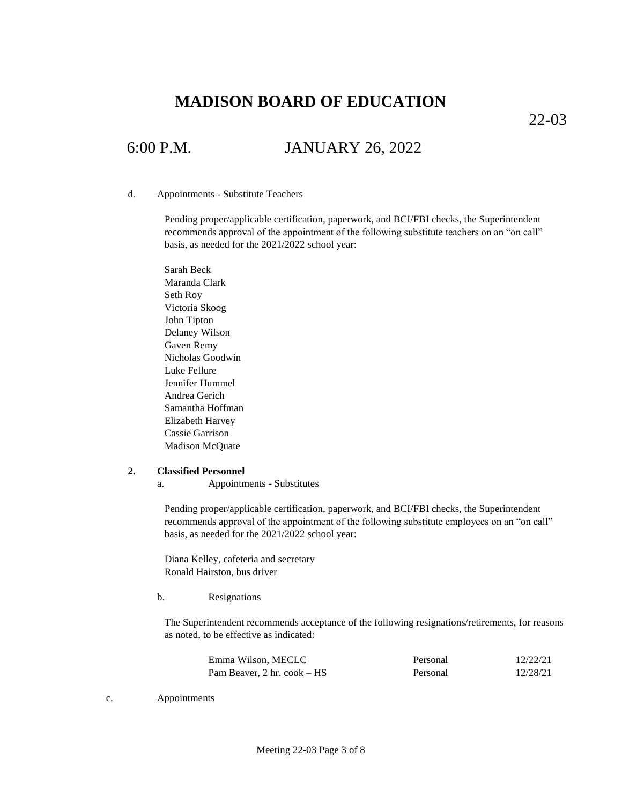22-03

# 6:00 P.M. JANUARY 26, 2022

### d. Appointments - Substitute Teachers

Pending proper/applicable certification, paperwork, and BCI/FBI checks, the Superintendent recommends approval of the appointment of the following substitute teachers on an "on call" basis, as needed for the 2021/2022 school year:

Sarah Beck Maranda Clark Seth Roy Victoria Skoog John Tipton Delaney Wilson Gaven Remy Nicholas Goodwin Luke Fellure Jennifer Hummel Andrea Gerich Samantha Hoffman Elizabeth Harvey Cassie Garrison Madison McQuate

### **2. Classified Personnel**

a. Appointments - Substitutes

Pending proper/applicable certification, paperwork, and BCI/FBI checks, the Superintendent recommends approval of the appointment of the following substitute employees on an "on call" basis, as needed for the 2021/2022 school year:

Diana Kelley, cafeteria and secretary Ronald Hairston, bus driver

b. Resignations

The Superintendent recommends acceptance of the following resignations/retirements, for reasons as noted, to be effective as indicated:

| Emma Wilson, MECLC                                   | Personal | 12/22/21 |
|------------------------------------------------------|----------|----------|
| Pam Beaver, $2 \text{ hr.} \text{ cosk} - \text{HS}$ | Personal | 12/28/21 |

c. Appointments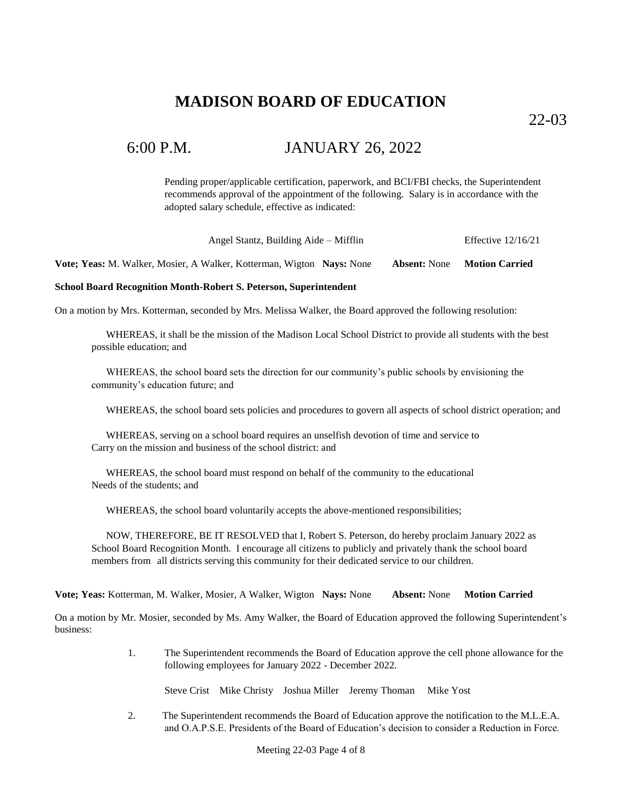22-03

## 6:00 P.M. JANUARY 26, 2022

Pending proper/applicable certification, paperwork, and BCI/FBI checks, the Superintendent recommends approval of the appointment of the following. Salary is in accordance with the adopted salary schedule, effective as indicated:

Angel Stantz, Building Aide – Mifflin Effective 12/16/21

**Vote; Yeas:** M. Walker, Mosier, A Walker, Kotterman, Wigton **Nays:** None **Absent:** None **Motion Carried**

### **School Board Recognition Month-Robert S. Peterson, Superintendent**

On a motion by Mrs. Kotterman, seconded by Mrs. Melissa Walker, the Board approved the following resolution:

WHEREAS, it shall be the mission of the Madison Local School District to provide all students with the best possible education; and

WHEREAS, the school board sets the direction for our community's public schools by envisioning the community's education future; and

WHEREAS, the school board sets policies and procedures to govern all aspects of school district operation; and

WHEREAS, serving on a school board requires an unselfish devotion of time and service to Carry on the mission and business of the school district: and

WHEREAS, the school board must respond on behalf of the community to the educational Needs of the students; and

WHEREAS, the school board voluntarily accepts the above-mentioned responsibilities;

NOW, THEREFORE, BE IT RESOLVED that I, Robert S. Peterson, do hereby proclaim January 2022 as School Board Recognition Month. I encourage all citizens to publicly and privately thank the school board members from all districts serving this community for their dedicated service to our children.

**Vote; Yeas:** Kotterman, M. Walker, Mosier, A Walker, Wigton **Nays:** None **Absent:** None **Motion Carried**

On a motion by Mr. Mosier, seconded by Ms. Amy Walker, the Board of Education approved the following Superintendent's business:

> 1. The Superintendent recommends the Board of Education approve the cell phone allowance for the following employees for January 2022 - December 2022.

Steve Crist Mike Christy Joshua Miller Jeremy Thoman Mike Yost

2. The Superintendent recommends the Board of Education approve the notification to the M.L.E.A. and O.A.P.S.E. Presidents of the Board of Education's decision to consider a Reduction in Force.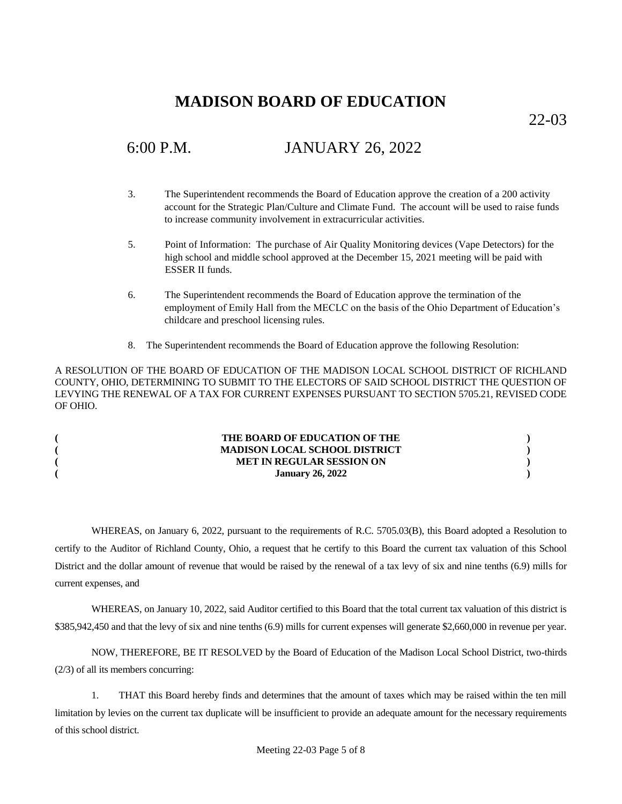22-03

# 6:00 P.M. JANUARY 26, 2022

- 3. The Superintendent recommends the Board of Education approve the creation of a 200 activity account for the Strategic Plan/Culture and Climate Fund. The account will be used to raise funds to increase community involvement in extracurricular activities.
- 5. Point of Information: The purchase of Air Quality Monitoring devices (Vape Detectors) for the high school and middle school approved at the December 15, 2021 meeting will be paid with ESSER II funds.
- 6. The Superintendent recommends the Board of Education approve the termination of the employment of Emily Hall from the MECLC on the basis of the Ohio Department of Education's childcare and preschool licensing rules.
- 8. The Superintendent recommends the Board of Education approve the following Resolution:

A RESOLUTION OF THE BOARD OF EDUCATION OF THE MADISON LOCAL SCHOOL DISTRICT OF RICHLAND COUNTY, OHIO, DETERMINING TO SUBMIT TO THE ELECTORS OF SAID SCHOOL DISTRICT THE QUESTION OF LEVYING THE RENEWAL OF A TAX FOR CURRENT EXPENSES PURSUANT TO SECTION 5705.21, REVISED CODE OF OHIO.

| THE BOARD OF EDUCATION OF THE        |  |
|--------------------------------------|--|
| <b>MADISON LOCAL SCHOOL DISTRICT</b> |  |
| <b>MET IN REGULAR SESSION ON</b>     |  |
| <b>January 26, 2022</b>              |  |

WHEREAS, on January 6, 2022, pursuant to the requirements of R.C. 5705.03(B), this Board adopted a Resolution to certify to the Auditor of Richland County, Ohio, a request that he certify to this Board the current tax valuation of this School District and the dollar amount of revenue that would be raised by the renewal of a tax levy of six and nine tenths (6.9) mills for current expenses, and

WHEREAS, on January 10, 2022, said Auditor certified to this Board that the total current tax valuation of this district is \$385,942,450 and that the levy of six and nine tenths (6.9) mills for current expenses will generate \$2,660,000 in revenue per year.

NOW, THEREFORE, BE IT RESOLVED by the Board of Education of the Madison Local School District, two-thirds (2/3) of all its members concurring:

1. THAT this Board hereby finds and determines that the amount of taxes which may be raised within the ten mill limitation by levies on the current tax duplicate will be insufficient to provide an adequate amount for the necessary requirements of this school district.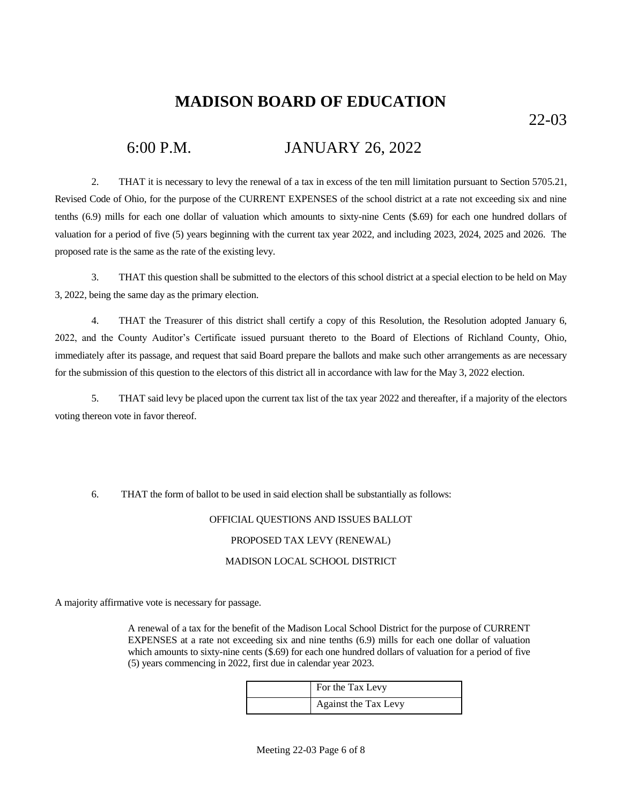22-03

### 6:00 P.M. JANUARY 26, 2022

2. THAT it is necessary to levy the renewal of a tax in excess of the ten mill limitation pursuant to Section 5705.21, Revised Code of Ohio, for the purpose of the CURRENT EXPENSES of the school district at a rate not exceeding six and nine tenths (6.9) mills for each one dollar of valuation which amounts to sixty-nine Cents (\$.69) for each one hundred dollars of valuation for a period of five (5) years beginning with the current tax year 2022, and including 2023, 2024, 2025 and 2026. The proposed rate is the same as the rate of the existing levy.

3. THAT this question shall be submitted to the electors of this school district at a special election to be held on May 3, 2022, being the same day as the primary election.

4. THAT the Treasurer of this district shall certify a copy of this Resolution, the Resolution adopted January 6, 2022, and the County Auditor's Certificate issued pursuant thereto to the Board of Elections of Richland County, Ohio, immediately after its passage, and request that said Board prepare the ballots and make such other arrangements as are necessary for the submission of this question to the electors of this district all in accordance with law for the May 3, 2022 election.

5. THAT said levy be placed upon the current tax list of the tax year 2022 and thereafter, if a majority of the electors voting thereon vote in favor thereof.

6. THAT the form of ballot to be used in said election shall be substantially as follows:

### OFFICIAL QUESTIONS AND ISSUES BALLOT

### PROPOSED TAX LEVY (RENEWAL)

### MADISON LOCAL SCHOOL DISTRICT

A majority affirmative vote is necessary for passage.

A renewal of a tax for the benefit of the Madison Local School District for the purpose of CURRENT EXPENSES at a rate not exceeding six and nine tenths (6.9) mills for each one dollar of valuation which amounts to sixty-nine cents (\$.69) for each one hundred dollars of valuation for a period of five (5) years commencing in 2022, first due in calendar year 2023.

| For the Tax Levy     |
|----------------------|
| Against the Tax Levy |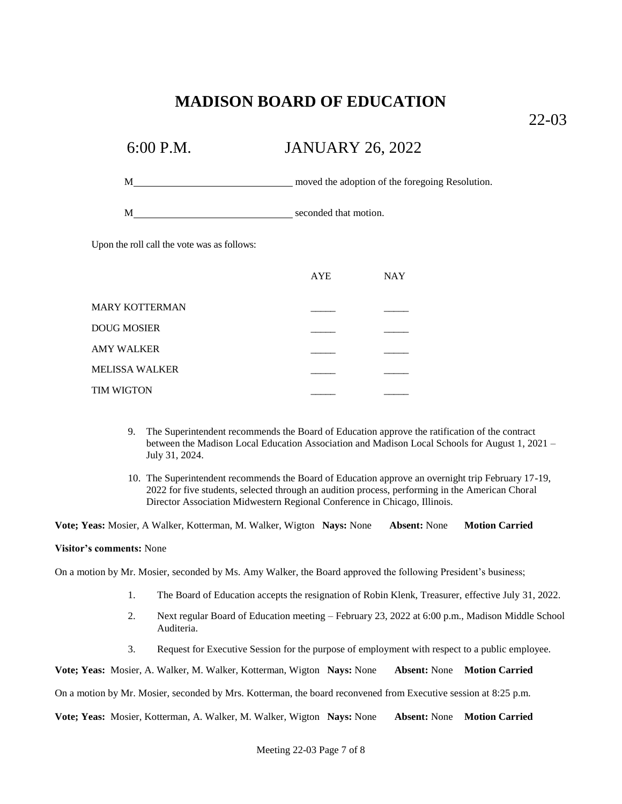22-03

# 6:00 P.M. JANUARY 26, 2022

M moved the adoption of the foregoing Resolution.

M seconded that motion.

Upon the roll call the vote was as follows:

|                       | <b>AYE</b> | <b>NAY</b> |
|-----------------------|------------|------------|
| <b>MARY KOTTERMAN</b> |            |            |
| <b>DOUG MOSIER</b>    |            |            |
| AMY WALKER            |            |            |
| <b>MELISSA WALKER</b> |            |            |
| <b>TIM WIGTON</b>     |            |            |

- 9. The Superintendent recommends the Board of Education approve the ratification of the contract between the Madison Local Education Association and Madison Local Schools for August 1, 2021 – July 31, 2024.
- 10. The Superintendent recommends the Board of Education approve an overnight trip February 17-19, 2022 for five students, selected through an audition process, performing in the American Choral Director Association Midwestern Regional Conference in Chicago, Illinois.

**Vote; Yeas:** Mosier, A Walker, Kotterman, M. Walker, Wigton **Nays:** None **Absent:** None **Motion Carried**

### **Visitor's comments:** None

On a motion by Mr. Mosier, seconded by Ms. Amy Walker, the Board approved the following President's business;

- 1. The Board of Education accepts the resignation of Robin Klenk, Treasurer, effective July 31, 2022.
- 2. Next regular Board of Education meeting February 23, 2022 at 6:00 p.m., Madison Middle School Auditeria.
- 3. Request for Executive Session for the purpose of employment with respect to a public employee.

**Vote; Yeas:** Mosier, A. Walker, M. Walker, Kotterman, Wigton **Nays:** None **Absent:** None **Motion Carried**

On a motion by Mr. Mosier, seconded by Mrs. Kotterman, the board reconvened from Executive session at 8:25 p.m.

**Vote; Yeas:** Mosier, Kotterman, A. Walker, M. Walker, Wigton **Nays:** None **Absent:** None **Motion Carried**